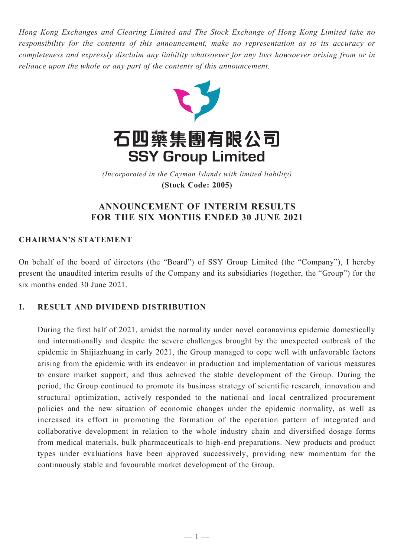*Hong Kong Exchanges and Clearing Limited and The Stock Exchange of Hong Kong Limited take no responsibility for the contents of this announcement, make no representation as to its accuracy or completeness and expressly disclaim any liability whatsoever for any loss howsoever arising from or in reliance upon the whole or any part of the contents of this announcement.*



(Incorporated in the Cayman Islands with limited liability) *(Incorporated in the Cayman Islands with limited liability)* **(Stock Code: 2005) (Stock Code: 2005)**

# **ANNOUNCEMENT OF INTERIM RESULTS FOR THE SIX MONTHS ENDED 30 JUNE 2021**

# **CHAIRMAN'S STATEMENT**

On behalf of the board of directors (the "Board") of SSY Group Limited (the "Company"), I hereby present the unaudited interim results of the Company and its subsidiaries (together, the "Group") for the six months ended 30 June 2021.

# **I. RESULT AND DIVIDEND DISTRIBUTION**

During the first half of 2021, amidst the normality under novel coronavirus epidemic domestically and internationally and despite the severe challenges brought by the unexpected outbreak of the epidemic in Shijiazhuang in early 2021, the Group managed to cope well with unfavorable factors arising from the epidemic with its endeavor in production and implementation of various measures to ensure market support, and thus achieved the stable development of the Group. During the period, the Group continued to promote its business strategy of scientific research, innovation and structural optimization, actively responded to the national and local centralized procurement policies and the new situation of economic changes under the epidemic normality, as well as increased its effort in promoting the formation of the operation pattern of integrated and collaborative development in relation to the whole industry chain and diversified dosage forms from medical materials, bulk pharmaceuticals to high-end preparations. New products and product types under evaluations have been approved successively, providing new momentum for the continuously stable and favourable market development of the Group.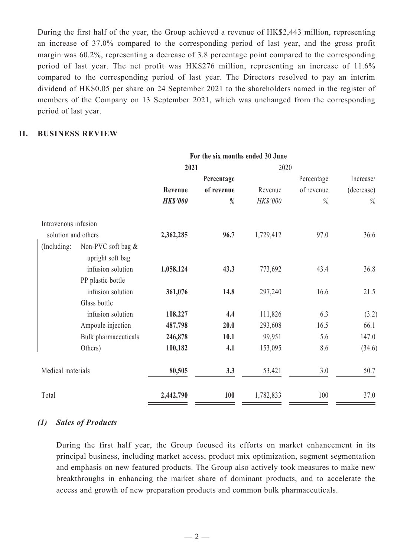During the first half of the year, the Group achieved a revenue of HK\$2,443 million, representing an increase of 37.0% compared to the corresponding period of last year, and the gross profit margin was 60.2%, representing a decrease of 3.8 percentage point compared to the corresponding period of last year. The net profit was HK\$276 million, representing an increase of 11.6% compared to the corresponding period of last year. The Directors resolved to pay an interim dividend of HK\$0.05 per share on 24 September 2021 to the shareholders named in the register of members of the Company on 13 September 2021, which was unchanged from the corresponding period of last year.

### **II. BUSINESS REVIEW**

|                      |                      | For the six months ended 30 June |               |           |            |            |  |
|----------------------|----------------------|----------------------------------|---------------|-----------|------------|------------|--|
|                      |                      | 2021                             |               | 2020      |            |            |  |
|                      |                      |                                  | Percentage    |           | Percentage | Increase/  |  |
|                      |                      | Revenue                          | of revenue    | Revenue   | of revenue | (decrease) |  |
|                      |                      | <b>HK\$'000</b>                  | $\frac{0}{0}$ | HK\$'000  | $\%$       | $\%$       |  |
| Intravenous infusion |                      |                                  |               |           |            |            |  |
| solution and others  |                      | 2,362,285                        | 96.7          | 1,729,412 | 97.0       | 36.6       |  |
| (Including:          | Non-PVC soft bag &   |                                  |               |           |            |            |  |
|                      | upright soft bag     |                                  |               |           |            |            |  |
|                      | infusion solution    | 1,058,124                        | 43.3          | 773,692   | 43.4       | 36.8       |  |
|                      | PP plastic bottle    |                                  |               |           |            |            |  |
|                      | infusion solution    | 361,076                          | 14.8          | 297,240   | 16.6       | 21.5       |  |
|                      | Glass bottle         |                                  |               |           |            |            |  |
|                      | infusion solution    | 108,227                          | 4.4           | 111,826   | 6.3        | (3.2)      |  |
|                      | Ampoule injection    | 487,798                          | 20.0          | 293,608   | 16.5       | 66.1       |  |
|                      | Bulk pharmaceuticals | 246,878                          | 10.1          | 99,951    | 5.6        | 147.0      |  |
|                      | Others)              | 100,182                          | 4.1           | 153,095   | 8.6        | (34.6)     |  |
| Medical materials    |                      | 80,505                           | 3.3           | 53,421    | 3.0        | 50.7       |  |
| Total                |                      | 2,442,790                        | 100           | 1,782,833 | 100        | 37.0       |  |

### *(1) Sales of Products*

During the first half year, the Group focused its efforts on market enhancement in its principal business, including market access, product mix optimization, segment segmentation and emphasis on new featured products. The Group also actively took measures to make new breakthroughs in enhancing the market share of dominant products, and to accelerate the access and growth of new preparation products and common bulk pharmaceuticals.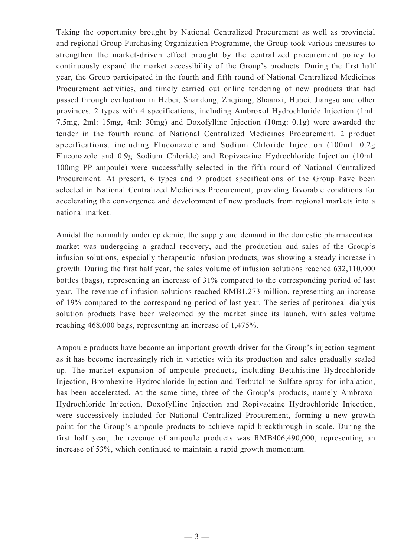Taking the opportunity brought by National Centralized Procurement as well as provincial and regional Group Purchasing Organization Programme, the Group took various measures to strengthen the market-driven effect brought by the centralized procurement policy to continuously expand the market accessibility of the Group's products. During the first half year, the Group participated in the fourth and fifth round of National Centralized Medicines Procurement activities, and timely carried out online tendering of new products that had passed through evaluation in Hebei, Shandong, Zhejiang, Shaanxi, Hubei, Jiangsu and other provinces. 2 types with 4 specifications, including Ambroxol Hydrochloride Injection (1ml: 7.5mg, 2ml: 15mg, 4ml: 30mg) and Doxofylline Injection (10mg: 0.1g) were awarded the tender in the fourth round of National Centralized Medicines Procurement. 2 product specifications, including Fluconazole and Sodium Chloride Injection (100ml: 0.2g Fluconazole and 0.9g Sodium Chloride) and Ropivacaine Hydrochloride Injection (10ml: 100mg PP ampoule) were successfully selected in the fifth round of National Centralized Procurement. At present, 6 types and 9 product specifications of the Group have been selected in National Centralized Medicines Procurement, providing favorable conditions for accelerating the convergence and development of new products from regional markets into a national market.

Amidst the normality under epidemic, the supply and demand in the domestic pharmaceutical market was undergoing a gradual recovery, and the production and sales of the Group's infusion solutions, especially therapeutic infusion products, was showing a steady increase in growth. During the first half year, the sales volume of infusion solutions reached 632,110,000 bottles (bags), representing an increase of 31% compared to the corresponding period of last year. The revenue of infusion solutions reached RMB1,273 million, representing an increase of 19% compared to the corresponding period of last year. The series of peritoneal dialysis solution products have been welcomed by the market since its launch, with sales volume reaching 468,000 bags, representing an increase of 1,475%.

Ampoule products have become an important growth driver for the Group's injection segment as it has become increasingly rich in varieties with its production and sales gradually scaled up. The market expansion of ampoule products, including Betahistine Hydrochloride Injection, Bromhexine Hydrochloride Injection and Terbutaline Sulfate spray for inhalation, has been accelerated. At the same time, three of the Group's products, namely Ambroxol Hydrochloride Injection, Doxofylline Injection and Ropivacaine Hydrochloride Injection, were successively included for National Centralized Procurement, forming a new growth point for the Group's ampoule products to achieve rapid breakthrough in scale. During the first half year, the revenue of ampoule products was RMB406,490,000, representing an increase of 53%, which continued to maintain a rapid growth momentum.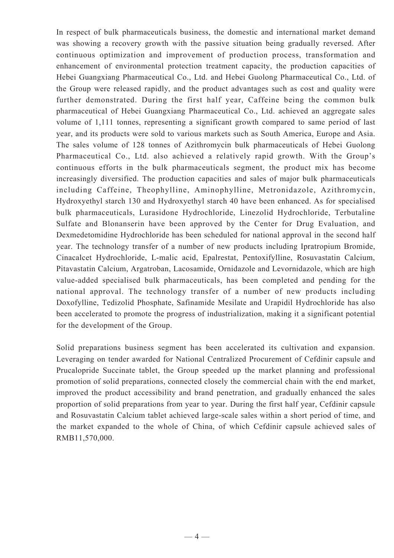In respect of bulk pharmaceuticals business, the domestic and international market demand was showing a recovery growth with the passive situation being gradually reversed. After continuous optimization and improvement of production process, transformation and enhancement of environmental protection treatment capacity, the production capacities of Hebei Guangxiang Pharmaceutical Co., Ltd. and Hebei Guolong Pharmaceutical Co., Ltd. of the Group were released rapidly, and the product advantages such as cost and quality were further demonstrated. During the first half year, Caffeine being the common bulk pharmaceutical of Hebei Guangxiang Pharmaceutical Co., Ltd. achieved an aggregate sales volume of 1,111 tonnes, representing a significant growth compared to same period of last year, and its products were sold to various markets such as South America, Europe and Asia. The sales volume of 128 tonnes of Azithromycin bulk pharmaceuticals of Hebei Guolong Pharmaceutical Co., Ltd. also achieved a relatively rapid growth. With the Group's continuous efforts in the bulk pharmaceuticals segment, the product mix has become increasingly diversified. The production capacities and sales of major bulk pharmaceuticals including Caffeine, Theophylline, Aminophylline, Metronidazole, Azithromycin, Hydroxyethyl starch 130 and Hydroxyethyl starch 40 have been enhanced. As for specialised bulk pharmaceuticals, Lurasidone Hydrochloride, Linezolid Hydrochloride, Terbutaline Sulfate and Blonanserin have been approved by the Center for Drug Evaluation, and Dexmedetomidine Hydrochloride has been scheduled for national approval in the second half year. The technology transfer of a number of new products including Ipratropium Bromide, Cinacalcet Hydrochloride, L-malic acid, Epalrestat, Pentoxifylline, Rosuvastatin Calcium, Pitavastatin Calcium, Argatroban, Lacosamide, Ornidazole and Levornidazole, which are high value-added specialised bulk pharmaceuticals, has been completed and pending for the national approval. The technology transfer of a number of new products including Doxofylline, Tedizolid Phosphate, Safinamide Mesilate and Urapidil Hydrochloride has also been accelerated to promote the progress of industrialization, making it a significant potential for the development of the Group.

Solid preparations business segment has been accelerated its cultivation and expansion. Leveraging on tender awarded for National Centralized Procurement of Cefdinir capsule and Prucalopride Succinate tablet, the Group speeded up the market planning and professional promotion of solid preparations, connected closely the commercial chain with the end market, improved the product accessibility and brand penetration, and gradually enhanced the sales proportion of solid preparations from year to year. During the first half year, Cefdinir capsule and Rosuvastatin Calcium tablet achieved large-scale sales within a short period of time, and the market expanded to the whole of China, of which Cefdinir capsule achieved sales of RMB11,570,000.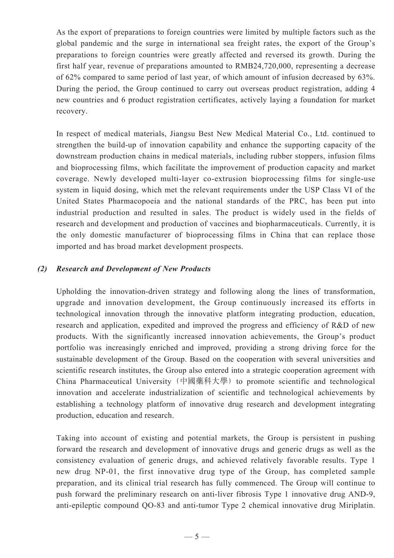As the export of preparations to foreign countries were limited by multiple factors such as the global pandemic and the surge in international sea freight rates, the export of the Group's preparations to foreign countries were greatly affected and reversed its growth. During the first half year, revenue of preparations amounted to RMB24,720,000, representing a decrease of 62% compared to same period of last year, of which amount of infusion decreased by 63%. During the period, the Group continued to carry out overseas product registration, adding 4 new countries and 6 product registration certificates, actively laying a foundation for market recovery.

In respect of medical materials, Jiangsu Best New Medical Material Co., Ltd. continued to strengthen the build-up of innovation capability and enhance the supporting capacity of the downstream production chains in medical materials, including rubber stoppers, infusion films and bioprocessing films, which facilitate the improvement of production capacity and market coverage. Newly developed multi-layer co-extrusion bioprocessing films for single-use system in liquid dosing, which met the relevant requirements under the USP Class VI of the United States Pharmacopoeia and the national standards of the PRC, has been put into industrial production and resulted in sales. The product is widely used in the fields of research and development and production of vaccines and biopharmaceuticals. Currently, it is the only domestic manufacturer of bioprocessing films in China that can replace those imported and has broad market development prospects.

## *(2) Research and Development of New Products*

Upholding the innovation-driven strategy and following along the lines of transformation, upgrade and innovation development, the Group continuously increased its efforts in technological innovation through the innovative platform integrating production, education, research and application, expedited and improved the progress and efficiency of R&D of new products. With the significantly increased innovation achievements, the Group's product portfolio was increasingly enriched and improved, providing a strong driving force for the sustainable development of the Group. Based on the cooperation with several universities and scientific research institutes, the Group also entered into a strategic cooperation agreement with China Pharmaceutical University (中國藥科大學) to promote scientific and technological innovation and accelerate industrialization of scientific and technological achievements by establishing a technology platform of innovative drug research and development integrating production, education and research.

Taking into account of existing and potential markets, the Group is persistent in pushing forward the research and development of innovative drugs and generic drugs as well as the consistency evaluation of generic drugs, and achieved relatively favorable results. Type 1 new drug NP-01, the first innovative drug type of the Group, has completed sample preparation, and its clinical trial research has fully commenced. The Group will continue to push forward the preliminary research on anti-liver fibrosis Type 1 innovative drug AND-9, anti-epileptic compound QO-83 and anti-tumor Type 2 chemical innovative drug Miriplatin.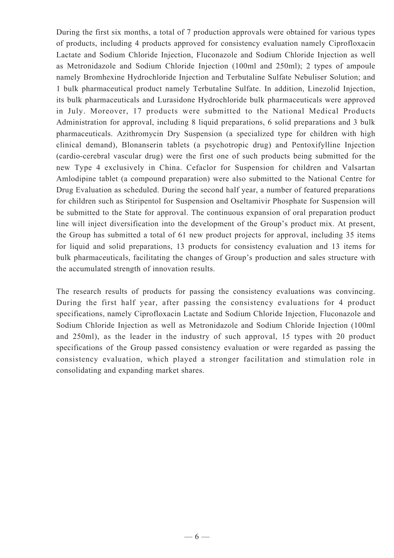During the first six months, a total of 7 production approvals were obtained for various types of products, including 4 products approved for consistency evaluation namely Ciprofloxacin Lactate and Sodium Chloride Injection, Fluconazole and Sodium Chloride Injection as well as Metronidazole and Sodium Chloride Injection (100ml and 250ml); 2 types of ampoule namely Bromhexine Hydrochloride Injection and Terbutaline Sulfate Nebuliser Solution; and 1 bulk pharmaceutical product namely Terbutaline Sulfate. In addition, Linezolid Injection, its bulk pharmaceuticals and Lurasidone Hydrochloride bulk pharmaceuticals were approved in July. Moreover, 17 products were submitted to the National Medical Products Administration for approval, including 8 liquid preparations, 6 solid preparations and 3 bulk pharmaceuticals. Azithromycin Dry Suspension (a specialized type for children with high clinical demand), Blonanserin tablets (a psychotropic drug) and Pentoxifylline Injection (cardio-cerebral vascular drug) were the first one of such products being submitted for the new Type 4 exclusively in China. Cefaclor for Suspension for children and Valsartan Amlodipine tablet (a compound preparation) were also submitted to the National Centre for Drug Evaluation as scheduled. During the second half year, a number of featured preparations for children such as Stiripentol for Suspension and Oseltamivir Phosphate for Suspension will be submitted to the State for approval. The continuous expansion of oral preparation product line will inject diversification into the development of the Group's product mix. At present, the Group has submitted a total of 61 new product projects for approval, including 35 items for liquid and solid preparations, 13 products for consistency evaluation and 13 items for bulk pharmaceuticals, facilitating the changes of Group's production and sales structure with the accumulated strength of innovation results.

The research results of products for passing the consistency evaluations was convincing. During the first half year, after passing the consistency evaluations for 4 product specifications, namely Ciprofloxacin Lactate and Sodium Chloride Injection, Fluconazole and Sodium Chloride Injection as well as Metronidazole and Sodium Chloride Injection (100ml and 250ml), as the leader in the industry of such approval, 15 types with 20 product specifications of the Group passed consistency evaluation or were regarded as passing the consistency evaluation, which played a stronger facilitation and stimulation role in consolidating and expanding market shares.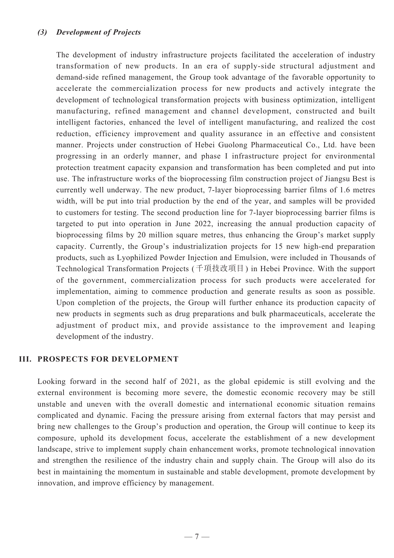### *(3) Development of Projects*

The development of industry infrastructure projects facilitated the acceleration of industry transformation of new products. In an era of supply-side structural adjustment and demand-side refined management, the Group took advantage of the favorable opportunity to accelerate the commercialization process for new products and actively integrate the development of technological transformation projects with business optimization, intelligent manufacturing, refined management and channel development, constructed and built intelligent factories, enhanced the level of intelligent manufacturing, and realized the cost reduction, efficiency improvement and quality assurance in an effective and consistent manner. Projects under construction of Hebei Guolong Pharmaceutical Co., Ltd. have been progressing in an orderly manner, and phase I infrastructure project for environmental protection treatment capacity expansion and transformation has been completed and put into use. The infrastructure works of the bioprocessing film construction project of Jiangsu Best is currently well underway. The new product, 7-layer bioprocessing barrier films of 1.6 metres width, will be put into trial production by the end of the year, and samples will be provided to customers for testing. The second production line for 7-layer bioprocessing barrier films is targeted to put into operation in June 2022, increasing the annual production capacity of bioprocessing films by 20 million square metres, thus enhancing the Group's market supply capacity. Currently, the Group's industrialization projects for 15 new high-end preparation products, such as Lyophilized Powder Injection and Emulsion, were included in Thousands of Technological Transformation Projects (千項技改項目) in Hebei Province. With the support of the government, commercialization process for such products were accelerated for implementation, aiming to commence production and generate results as soon as possible. Upon completion of the projects, the Group will further enhance its production capacity of new products in segments such as drug preparations and bulk pharmaceuticals, accelerate the adjustment of product mix, and provide assistance to the improvement and leaping development of the industry.

### **III. PROSPECTS FOR DEVELOPMENT**

Looking forward in the second half of 2021, as the global epidemic is still evolving and the external environment is becoming more severe, the domestic economic recovery may be still unstable and uneven with the overall domestic and international economic situation remains complicated and dynamic. Facing the pressure arising from external factors that may persist and bring new challenges to the Group's production and operation, the Group will continue to keep its composure, uphold its development focus, accelerate the establishment of a new development landscape, strive to implement supply chain enhancement works, promote technological innovation and strengthen the resilience of the industry chain and supply chain. The Group will also do its best in maintaining the momentum in sustainable and stable development, promote development by innovation, and improve efficiency by management.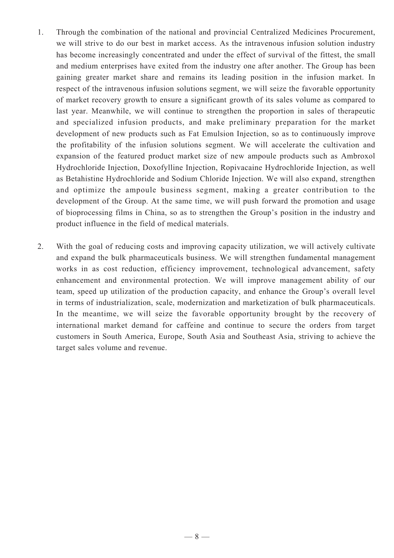- 1. Through the combination of the national and provincial Centralized Medicines Procurement, we will strive to do our best in market access. As the intravenous infusion solution industry has become increasingly concentrated and under the effect of survival of the fittest, the small and medium enterprises have exited from the industry one after another. The Group has been gaining greater market share and remains its leading position in the infusion market. In respect of the intravenous infusion solutions segment, we will seize the favorable opportunity of market recovery growth to ensure a significant growth of its sales volume as compared to last year. Meanwhile, we will continue to strengthen the proportion in sales of therapeutic and specialized infusion products, and make preliminary preparation for the market development of new products such as Fat Emulsion Injection, so as to continuously improve the profitability of the infusion solutions segment. We will accelerate the cultivation and expansion of the featured product market size of new ampoule products such as Ambroxol Hydrochloride Injection, Doxofylline Injection, Ropivacaine Hydrochloride Injection, as well as Betahistine Hydrochloride and Sodium Chloride Injection. We will also expand, strengthen and optimize the ampoule business segment, making a greater contribution to the development of the Group. At the same time, we will push forward the promotion and usage of bioprocessing films in China, so as to strengthen the Group's position in the industry and product influence in the field of medical materials.
- 2. With the goal of reducing costs and improving capacity utilization, we will actively cultivate and expand the bulk pharmaceuticals business. We will strengthen fundamental management works in as cost reduction, efficiency improvement, technological advancement, safety enhancement and environmental protection. We will improve management ability of our team, speed up utilization of the production capacity, and enhance the Group's overall level in terms of industrialization, scale, modernization and marketization of bulk pharmaceuticals. In the meantime, we will seize the favorable opportunity brought by the recovery of international market demand for caffeine and continue to secure the orders from target customers in South America, Europe, South Asia and Southeast Asia, striving to achieve the target sales volume and revenue.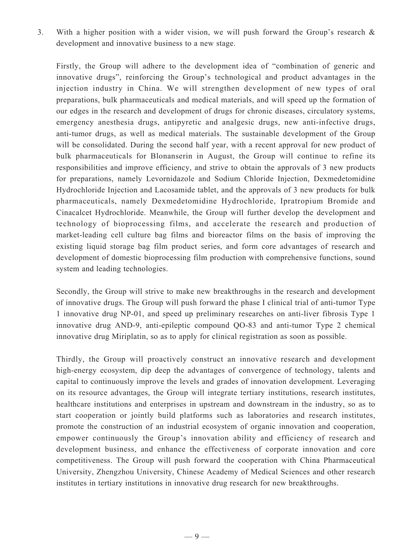3. With a higher position with a wider vision, we will push forward the Group's research & development and innovative business to a new stage.

Firstly, the Group will adhere to the development idea of "combination of generic and innovative drugs", reinforcing the Group's technological and product advantages in the injection industry in China. We will strengthen development of new types of oral preparations, bulk pharmaceuticals and medical materials, and will speed up the formation of our edges in the research and development of drugs for chronic diseases, circulatory systems, emergency anesthesia drugs, antipyretic and analgesic drugs, new anti-infective drugs, anti-tumor drugs, as well as medical materials. The sustainable development of the Group will be consolidated. During the second half year, with a recent approval for new product of bulk pharmaceuticals for Blonanserin in August, the Group will continue to refine its responsibilities and improve efficiency, and strive to obtain the approvals of 3 new products for preparations, namely Levornidazole and Sodium Chloride Injection, Dexmedetomidine Hydrochloride Injection and Lacosamide tablet, and the approvals of 3 new products for bulk pharmaceuticals, namely Dexmedetomidine Hydrochloride, Ipratropium Bromide and Cinacalcet Hydrochloride. Meanwhile, the Group will further develop the development and technology of bioprocessing films, and accelerate the research and production of market-leading cell culture bag films and bioreactor films on the basis of improving the existing liquid storage bag film product series, and form core advantages of research and development of domestic bioprocessing film production with comprehensive functions, sound system and leading technologies.

Secondly, the Group will strive to make new breakthroughs in the research and development of innovative drugs. The Group will push forward the phase I clinical trial of anti-tumor Type 1 innovative drug NP-01, and speed up preliminary researches on anti-liver fibrosis Type 1 innovative drug AND-9, anti-epileptic compound QO-83 and anti-tumor Type 2 chemical innovative drug Miriplatin, so as to apply for clinical registration as soon as possible.

Thirdly, the Group will proactively construct an innovative research and development high-energy ecosystem, dip deep the advantages of convergence of technology, talents and capital to continuously improve the levels and grades of innovation development. Leveraging on its resource advantages, the Group will integrate tertiary institutions, research institutes, healthcare institutions and enterprises in upstream and downstream in the industry, so as to start cooperation or jointly build platforms such as laboratories and research institutes, promote the construction of an industrial ecosystem of organic innovation and cooperation, empower continuously the Group's innovation ability and efficiency of research and development business, and enhance the effectiveness of corporate innovation and core competitiveness. The Group will push forward the cooperation with China Pharmaceutical University, Zhengzhou University, Chinese Academy of Medical Sciences and other research institutes in tertiary institutions in innovative drug research for new breakthroughs.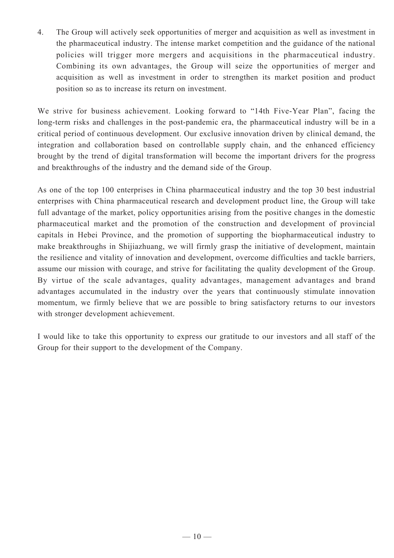4. The Group will actively seek opportunities of merger and acquisition as well as investment in the pharmaceutical industry. The intense market competition and the guidance of the national policies will trigger more mergers and acquisitions in the pharmaceutical industry. Combining its own advantages, the Group will seize the opportunities of merger and acquisition as well as investment in order to strengthen its market position and product position so as to increase its return on investment.

We strive for business achievement. Looking forward to "14th Five-Year Plan", facing the long-term risks and challenges in the post-pandemic era, the pharmaceutical industry will be in a critical period of continuous development. Our exclusive innovation driven by clinical demand, the integration and collaboration based on controllable supply chain, and the enhanced efficiency brought by the trend of digital transformation will become the important drivers for the progress and breakthroughs of the industry and the demand side of the Group.

As one of the top 100 enterprises in China pharmaceutical industry and the top 30 best industrial enterprises with China pharmaceutical research and development product line, the Group will take full advantage of the market, policy opportunities arising from the positive changes in the domestic pharmaceutical market and the promotion of the construction and development of provincial capitals in Hebei Province, and the promotion of supporting the biopharmaceutical industry to make breakthroughs in Shijiazhuang, we will firmly grasp the initiative of development, maintain the resilience and vitality of innovation and development, overcome difficulties and tackle barriers, assume our mission with courage, and strive for facilitating the quality development of the Group. By virtue of the scale advantages, quality advantages, management advantages and brand advantages accumulated in the industry over the years that continuously stimulate innovation momentum, we firmly believe that we are possible to bring satisfactory returns to our investors with stronger development achievement.

I would like to take this opportunity to express our gratitude to our investors and all staff of the Group for their support to the development of the Company.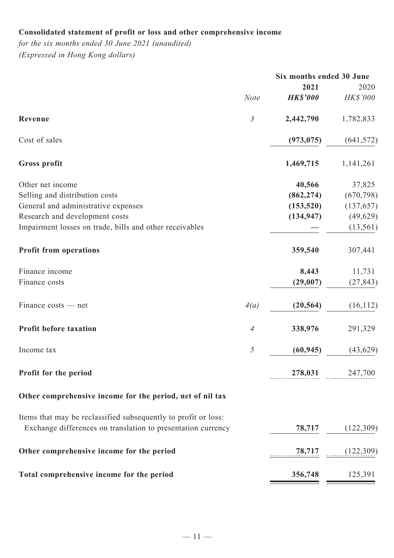# **Consolidated statement of profit or loss and other comprehensive income**

*for the six months ended 30 June 2021 (unaudited) (Expressed in Hong Kong dollars)*

|                                                                                                                                                                                        |                |                                                  | Six months ended 30 June                                     |  |
|----------------------------------------------------------------------------------------------------------------------------------------------------------------------------------------|----------------|--------------------------------------------------|--------------------------------------------------------------|--|
|                                                                                                                                                                                        | <b>Note</b>    | 2021<br><b>HK\$'000</b>                          | 2020<br>HK\$'000                                             |  |
| Revenue                                                                                                                                                                                | $\mathfrak{Z}$ | 2,442,790                                        | 1,782,833                                                    |  |
| Cost of sales                                                                                                                                                                          |                | (973, 075)                                       | (641, 572)                                                   |  |
| <b>Gross profit</b>                                                                                                                                                                    |                | 1,469,715                                        | 1,141,261                                                    |  |
| Other net income<br>Selling and distribution costs<br>General and administrative expenses<br>Research and development costs<br>Impairment losses on trade, bills and other receivables |                | 40,566<br>(862, 274)<br>(153, 520)<br>(134, 947) | 37,825<br>(670, 798)<br>(137, 657)<br>(49, 629)<br>(13, 561) |  |
| <b>Profit from operations</b>                                                                                                                                                          |                | 359,540                                          | 307,441                                                      |  |
| Finance income<br>Finance costs                                                                                                                                                        |                | 8,443<br>(29,007)                                | 11,731<br>(27, 843)                                          |  |
| Finance costs — net                                                                                                                                                                    | 4(a)           | (20, 564)                                        | (16, 112)                                                    |  |
| Profit before taxation                                                                                                                                                                 | $\overline{4}$ | 338,976                                          | 291,329                                                      |  |
| Income tax                                                                                                                                                                             | $\mathfrak{I}$ | (60, 945)                                        | (43, 629)                                                    |  |
| Profit for the period                                                                                                                                                                  |                | 278,031                                          | 247,700                                                      |  |
| Other comprehensive income for the period, net of nil tax                                                                                                                              |                |                                                  |                                                              |  |
| Items that may be reclassified subsequently to profit or loss:<br>Exchange differences on translation to presentation currency                                                         |                | 78,717                                           | (122,309)                                                    |  |
| Other comprehensive income for the period                                                                                                                                              |                | 78,717                                           | (122,309)                                                    |  |
| Total comprehensive income for the period                                                                                                                                              |                | 356,748                                          | 125,391                                                      |  |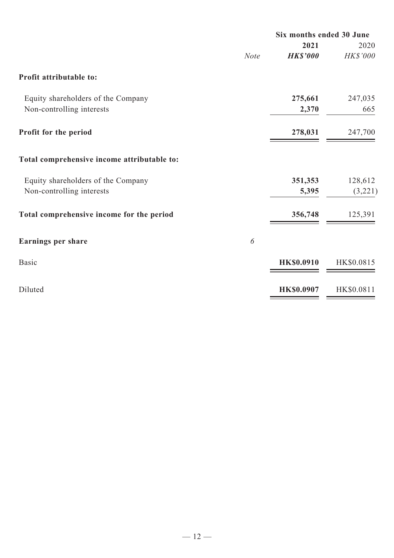|             | 2021              | 2020                     |
|-------------|-------------------|--------------------------|
| <b>Note</b> | <b>HK\$'000</b>   | HK\$'000                 |
|             |                   |                          |
|             | 275,661           | 247,035                  |
|             | 2,370             | 665                      |
|             | 278,031           | 247,700                  |
|             |                   |                          |
|             | 351,353           | 128,612                  |
|             | 5,395             | (3,221)                  |
|             | 356,748           | 125,391                  |
| 6           |                   |                          |
|             | <b>HK\$0.0910</b> | HK\$0.0815               |
|             | <b>HK\$0.0907</b> | HK\$0.0811               |
|             |                   | Six months ended 30 June |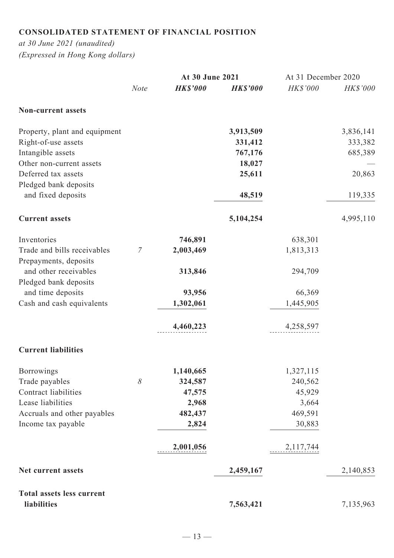# **CONSOLIDATED STATEMENT OF FINANCIAL POSITION**

*at 30 June 2021 (unaudited) (Expressed in Hong Kong dollars)*

|                                                |             | At 30 June 2021 |                 | At 31 December 2020 |           |
|------------------------------------------------|-------------|-----------------|-----------------|---------------------|-----------|
|                                                | <b>Note</b> | <b>HK\$'000</b> | <b>HK\$'000</b> | HK\$'000            | HK\$'000  |
| <b>Non-current assets</b>                      |             |                 |                 |                     |           |
| Property, plant and equipment                  |             |                 | 3,913,509       |                     | 3,836,141 |
| Right-of-use assets                            |             |                 | 331,412         |                     | 333,382   |
| Intangible assets                              |             |                 | 767,176         |                     | 685,389   |
| Other non-current assets                       |             |                 | 18,027          |                     |           |
| Deferred tax assets<br>Pledged bank deposits   |             |                 | 25,611          |                     | 20,863    |
| and fixed deposits                             |             |                 | 48,519          |                     | 119,335   |
| <b>Current assets</b>                          |             |                 | 5,104,254       |                     | 4,995,110 |
| Inventories                                    |             | 746,891         |                 | 638,301             |           |
| Trade and bills receivables                    | 7           | 2,003,469       |                 | 1,813,313           |           |
| Prepayments, deposits<br>and other receivables |             | 313,846         |                 | 294,709             |           |
| Pledged bank deposits                          |             |                 |                 |                     |           |
| and time deposits                              |             | 93,956          |                 | 66,369              |           |
| Cash and cash equivalents                      |             | 1,302,061       |                 | 1,445,905           |           |
|                                                |             |                 |                 |                     |           |
|                                                |             | 4,460,223       |                 | 4,258,597           |           |
| <b>Current liabilities</b>                     |             |                 |                 |                     |           |
| Borrowings                                     |             | 1,140,665       |                 | 1,327,115           |           |
| Trade payables                                 | 8           | 324,587         |                 | 240,562             |           |
| Contract liabilities                           |             | 47,575          |                 | 45,929              |           |
| Lease liabilities                              |             | 2,968           |                 | 3,664               |           |
| Accruals and other payables                    |             | 482,437         |                 | 469,591             |           |
| Income tax payable                             |             | 2,824           |                 | 30,883              |           |
|                                                |             | 2,001,056       |                 | 2,117,744           |           |
| Net current assets                             |             |                 | 2,459,167       |                     | 2,140,853 |
| <b>Total assets less current</b>               |             |                 |                 |                     |           |
| liabilities                                    |             |                 | 7,563,421       |                     | 7,135,963 |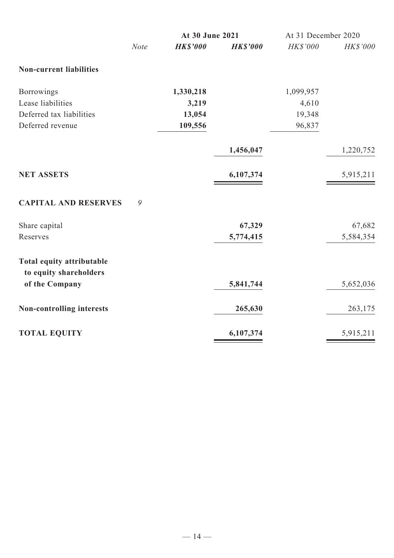|                                                            | At 30 June 2021 |                |                 |                 | At 31 December 2020 |  |
|------------------------------------------------------------|-----------------|----------------|-----------------|-----------------|---------------------|--|
|                                                            | <b>Note</b>     | <b>HKS'000</b> | <b>HK\$'000</b> | <b>HK\$'000</b> | <b>HK\$'000</b>     |  |
| <b>Non-current liabilities</b>                             |                 |                |                 |                 |                     |  |
| Borrowings                                                 |                 | 1,330,218      |                 | 1,099,957       |                     |  |
| Lease liabilities                                          |                 | 3,219          |                 | 4,610           |                     |  |
| Deferred tax liabilities                                   |                 | 13,054         |                 | 19,348          |                     |  |
| Deferred revenue                                           |                 | 109,556        |                 | 96,837          |                     |  |
|                                                            |                 |                | 1,456,047       |                 | 1,220,752           |  |
| <b>NET ASSETS</b>                                          |                 |                | 6,107,374       |                 | 5,915,211           |  |
| <b>CAPITAL AND RESERVES</b>                                | 9               |                |                 |                 |                     |  |
| Share capital                                              |                 |                | 67,329          |                 | 67,682              |  |
| Reserves                                                   |                 |                | 5,774,415       |                 | 5,584,354           |  |
| <b>Total equity attributable</b><br>to equity shareholders |                 |                |                 |                 |                     |  |
| of the Company                                             |                 |                | 5,841,744       |                 | 5,652,036           |  |
| <b>Non-controlling interests</b>                           |                 |                | 265,630         |                 | 263,175             |  |
| <b>TOTAL EQUITY</b>                                        |                 |                | 6,107,374       |                 | 5,915,211           |  |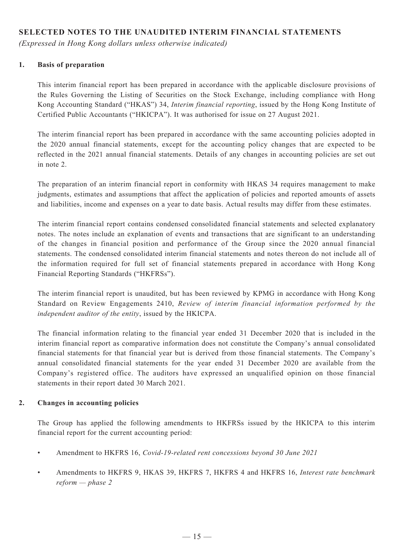## **SELECTED NOTES TO THE UNAUDITED INTERIM FINANCIAL STATEMENTS**

*(Expressed in Hong Kong dollars unless otherwise indicated)*

### **1. Basis of preparation**

This interim financial report has been prepared in accordance with the applicable disclosure provisions of the Rules Governing the Listing of Securities on the Stock Exchange, including compliance with Hong Kong Accounting Standard ("HKAS") 34, *Interim financial reporting*, issued by the Hong Kong Institute of Certified Public Accountants ("HKICPA"). It was authorised for issue on 27 August 2021.

The interim financial report has been prepared in accordance with the same accounting policies adopted in the 2020 annual financial statements, except for the accounting policy changes that are expected to be reflected in the 2021 annual financial statements. Details of any changes in accounting policies are set out in note 2.

The preparation of an interim financial report in conformity with HKAS 34 requires management to make judgments, estimates and assumptions that affect the application of policies and reported amounts of assets and liabilities, income and expenses on a year to date basis. Actual results may differ from these estimates.

The interim financial report contains condensed consolidated financial statements and selected explanatory notes. The notes include an explanation of events and transactions that are significant to an understanding of the changes in financial position and performance of the Group since the 2020 annual financial statements. The condensed consolidated interim financial statements and notes thereon do not include all of the information required for full set of financial statements prepared in accordance with Hong Kong Financial Reporting Standards ("HKFRSs").

The interim financial report is unaudited, but has been reviewed by KPMG in accordance with Hong Kong Standard on Review Engagements 2410, *Review of interim financial information performed by the independent auditor of the entity*, issued by the HKICPA.

The financial information relating to the financial year ended 31 December 2020 that is included in the interim financial report as comparative information does not constitute the Company's annual consolidated financial statements for that financial year but is derived from those financial statements. The Company's annual consolidated financial statements for the year ended 31 December 2020 are available from the Company's registered office. The auditors have expressed an unqualified opinion on those financial statements in their report dated 30 March 2021.

#### **2. Changes in accounting policies**

The Group has applied the following amendments to HKFRSs issued by the HKICPA to this interim financial report for the current accounting period:

- Amendment to HKFRS 16, *Covid-19-related rent concessions beyond 30 June 2021*
- Amendments to HKFRS 9, HKAS 39, HKFRS 7, HKFRS 4 and HKFRS 16, *Interest rate benchmark reform — phase 2*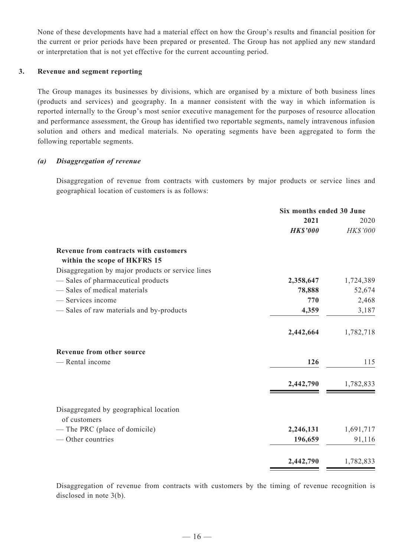None of these developments have had a material effect on how the Group's results and financial position for the current or prior periods have been prepared or presented. The Group has not applied any new standard or interpretation that is not yet effective for the current accounting period.

#### **3. Revenue and segment reporting**

The Group manages its businesses by divisions, which are organised by a mixture of both business lines (products and services) and geography. In a manner consistent with the way in which information is reported internally to the Group's most senior executive management for the purposes of resource allocation and performance assessment, the Group has identified two reportable segments, namely intravenous infusion solution and others and medical materials. No operating segments have been aggregated to form the following reportable segments.

#### *(a) Disaggregation of revenue*

Disaggregation of revenue from contracts with customers by major products or service lines and geographical location of customers is as follows:

|                                                   | Six months ended 30 June |           |  |
|---------------------------------------------------|--------------------------|-----------|--|
|                                                   | 2021                     | 2020      |  |
|                                                   | <b>HK\$'000</b>          | HK\$'000  |  |
| Revenue from contracts with customers             |                          |           |  |
| within the scope of HKFRS 15                      |                          |           |  |
| Disaggregation by major products or service lines |                          |           |  |
| - Sales of pharmaceutical products                | 2,358,647                | 1,724,389 |  |
| - Sales of medical materials                      | 78,888                   | 52,674    |  |
| - Services income                                 | 770                      | 2,468     |  |
| - Sales of raw materials and by-products          | 4,359                    | 3,187     |  |
|                                                   | 2,442,664                | 1,782,718 |  |
| Revenue from other source                         |                          |           |  |
| - Rental income                                   | 126                      | 115       |  |
|                                                   | 2,442,790                | 1,782,833 |  |
| Disaggregated by geographical location            |                          |           |  |
| of customers                                      |                          |           |  |
| - The PRC (place of domicile)                     | 2,246,131                | 1,691,717 |  |
| — Other countries                                 | 196,659                  | 91,116    |  |
|                                                   | 2,442,790                | 1,782,833 |  |

Disaggregation of revenue from contracts with customers by the timing of revenue recognition is disclosed in note 3(b).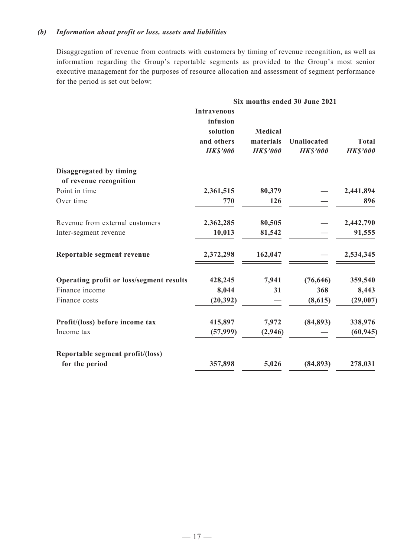### *(b) Information about profit or loss, assets and liabilities*

Disaggregation of revenue from contracts with customers by timing of revenue recognition, as well as information regarding the Group's reportable segments as provided to the Group's most senior executive management for the purposes of resource allocation and assessment of segment performance for the period is set out below:

|                                          | Six months ended 30 June 2021                                               |                                                |                                       |                                 |  |
|------------------------------------------|-----------------------------------------------------------------------------|------------------------------------------------|---------------------------------------|---------------------------------|--|
|                                          | <b>Intravenous</b><br>infusion<br>solution<br>and others<br><b>HK\$'000</b> | <b>Medical</b><br>materials<br><b>HK\$'000</b> | <b>Unallocated</b><br><b>HK\$'000</b> | <b>Total</b><br><b>HK\$'000</b> |  |
| Disaggregated by timing                  |                                                                             |                                                |                                       |                                 |  |
| of revenue recognition                   |                                                                             |                                                |                                       |                                 |  |
| Point in time                            | 2,361,515                                                                   | 80,379                                         |                                       | 2,441,894                       |  |
| Over time                                | 770                                                                         | 126                                            |                                       | 896                             |  |
| Revenue from external customers          | 2,362,285                                                                   | 80,505                                         |                                       | 2,442,790                       |  |
| Inter-segment revenue                    | 10,013                                                                      | 81,542                                         |                                       | 91,555                          |  |
| Reportable segment revenue               | 2,372,298                                                                   | 162,047                                        |                                       | 2,534,345                       |  |
| Operating profit or loss/segment results | 428,245                                                                     | 7,941                                          | (76, 646)                             | 359,540                         |  |
| Finance income                           | 8,044                                                                       | 31                                             | 368                                   | 8,443                           |  |
| Finance costs                            | (20, 392)                                                                   |                                                | (8,615)                               | (29,007)                        |  |
| Profit/(loss) before income tax          | 415,897                                                                     | 7,972                                          | (84, 893)                             | 338,976                         |  |
| Income tax                               | (57,999)                                                                    | (2,946)                                        |                                       | (60, 945)                       |  |
| Reportable segment profit/(loss)         |                                                                             |                                                |                                       |                                 |  |
| for the period                           | 357,898                                                                     | 5,026                                          | (84, 893)                             | 278,031                         |  |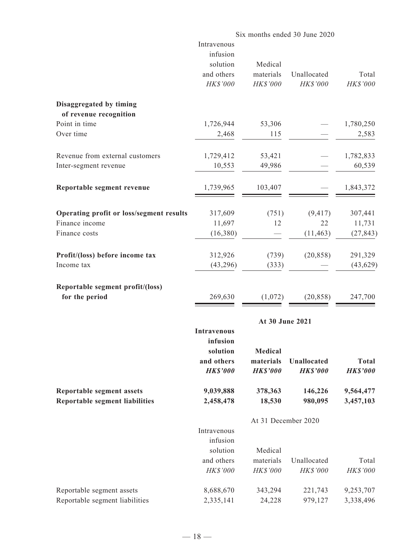|                                                   |                    |                     | Six months ended 30 June 2020 |                 |
|---------------------------------------------------|--------------------|---------------------|-------------------------------|-----------------|
|                                                   | Intravenous        |                     |                               |                 |
|                                                   | infusion           |                     |                               |                 |
|                                                   | solution           | Medical             |                               |                 |
|                                                   | and others         | materials           | Unallocated                   | Total           |
|                                                   | HK\$'000           | HK\$'000            | HK\$'000                      | HK\$'000        |
| Disaggregated by timing<br>of revenue recognition |                    |                     |                               |                 |
| Point in time                                     | 1,726,944          | 53,306              |                               | 1,780,250       |
| Over time                                         | 2,468              | 115                 |                               | 2,583           |
|                                                   |                    |                     |                               |                 |
| Revenue from external customers                   | 1,729,412          | 53,421              |                               | 1,782,833       |
| Inter-segment revenue                             | 10,553             | 49,986              |                               | 60,539          |
| Reportable segment revenue                        | 1,739,965          | 103,407             |                               | 1,843,372       |
|                                                   |                    |                     |                               |                 |
| Operating profit or loss/segment results          | 317,609            | (751)               | (9, 417)                      | 307,441         |
| Finance income                                    | 11,697             | 12                  | 22                            | 11,731          |
| Finance costs                                     | (16,380)           |                     | (11, 463)                     | (27, 843)       |
| Profit/(loss) before income tax                   | 312,926            | (739)               | (20, 858)                     | 291,329         |
| Income tax                                        | (43, 296)          | (333)               |                               | (43, 629)       |
| Reportable segment profit/(loss)                  |                    |                     |                               |                 |
| for the period                                    | 269,630            | (1,072)             | (20, 858)                     | 247,700         |
|                                                   |                    | At 30 June 2021     |                               |                 |
|                                                   | <b>Intravenous</b> |                     |                               |                 |
|                                                   | infusion           |                     |                               |                 |
|                                                   | solution           | <b>Medical</b>      |                               |                 |
|                                                   | and others         | materials           | <b>Unallocated</b>            | <b>Total</b>    |
|                                                   | <b>HK\$'000</b>    | <b>HK\$'000</b>     | <b>HK\$'000</b>               | <b>HK\$'000</b> |
| <b>Reportable segment assets</b>                  | 9,039,888          | 378,363             | 146,226                       | 9,564,477       |
| <b>Reportable segment liabilities</b>             | 2,458,478          | 18,530              | 980,095                       | 3,457,103       |
|                                                   |                    | At 31 December 2020 |                               |                 |
|                                                   | Intravenous        |                     |                               |                 |
|                                                   | infusion           |                     |                               |                 |
|                                                   | solution           | Medical             |                               |                 |
|                                                   | and others         | materials           | Unallocated                   | Total           |
|                                                   | HK\$'000           | HK\$'000            | HK\$'000                      | HK\$'000        |
| Reportable segment assets                         | 8,688,670          | 343,294             | 221,743                       | 9,253,707       |
| Reportable segment liabilities                    | 2,335,141          | 24,228              | 979,127                       | 3,338,496       |
|                                                   |                    |                     |                               |                 |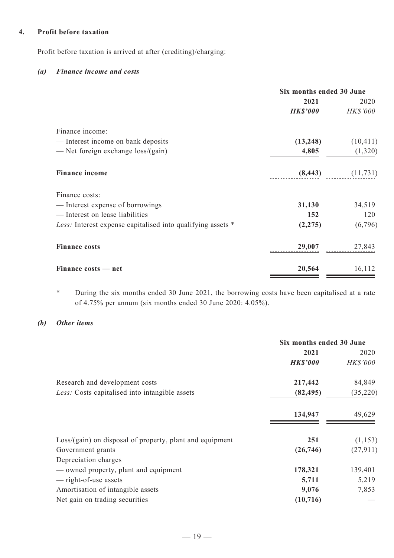#### **4. Profit before taxation**

Profit before taxation is arrived at after (crediting)/charging:

#### *(a) Finance income and costs*

|                                                             | Six months ended 30 June |           |  |
|-------------------------------------------------------------|--------------------------|-----------|--|
|                                                             | 2021                     | 2020      |  |
|                                                             | <b>HK\$'000</b>          | HK\$'000  |  |
| Finance income:                                             |                          |           |  |
| — Interest income on bank deposits                          | (13,248)                 | (10, 411) |  |
| — Net foreign exchange $loss/(gain)$                        | 4,805                    | (1,320)   |  |
| <b>Finance income</b>                                       | (8, 443)                 | (11, 731) |  |
| Finance costs:                                              |                          |           |  |
| — Interest expense of borrowings                            | 31,130                   | 34,519    |  |
| - Interest on lease liabilities                             | 152                      | 120       |  |
| Less: Interest expense capitalised into qualifying assets * | (2, 275)                 | (6,796)   |  |
| <b>Finance costs</b>                                        | 29,007                   | 27,843    |  |
| Finance costs — net                                         | 20,564                   | 16,112    |  |

\* During the six months ended 30 June 2021, the borrowing costs have been capitalised at a rate of 4.75% per annum (six months ended 30 June 2020: 4.05%).

#### *(b) Other items*

|                                                            | Six months ended 30 June |                 |  |
|------------------------------------------------------------|--------------------------|-----------------|--|
|                                                            | 2021                     | 2020            |  |
|                                                            | <b>HK\$'000</b>          | <b>HK\$'000</b> |  |
| Research and development costs                             | 217,442                  | 84,849          |  |
| Less: Costs capitalised into intangible assets             | (82, 495)                | (35,220)        |  |
|                                                            | 134,947                  | 49,629          |  |
| $Loss/(gain)$ on disposal of property, plant and equipment | 251                      | (1,153)         |  |
| Government grants                                          | (26,746)                 | (27, 911)       |  |
| Depreciation charges                                       |                          |                 |  |
| - owned property, plant and equipment                      | 178,321                  | 139,401         |  |
| — right-of-use assets                                      | 5,711                    | 5,219           |  |
| Amortisation of intangible assets                          | 9,076                    | 7,853           |  |
| Net gain on trading securities                             | (10, 716)                |                 |  |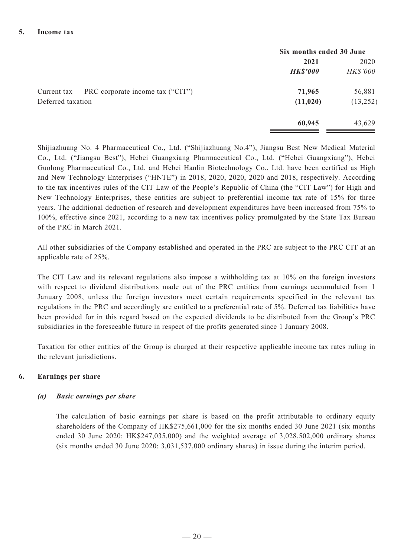|                                                  | Six months ended 30 June |                 |  |
|--------------------------------------------------|--------------------------|-----------------|--|
|                                                  | 2021                     | 2020            |  |
|                                                  | <b>HK\$'000</b>          | <b>HK\$'000</b> |  |
| Current tax — PRC corporate income tax $("CIT")$ | 71,965                   | 56,881          |  |
| Deferred taxation                                | (11, 020)                | (13, 252)       |  |
|                                                  | 60,945                   | 43,629          |  |

Shijiazhuang No. 4 Pharmaceutical Co., Ltd. ("Shijiazhuang No.4"), Jiangsu Best New Medical Material Co., Ltd. ("Jiangsu Best"), Hebei Guangxiang Pharmaceutical Co., Ltd. ("Hebei Guangxiang"), Hebei Guolong Pharmaceutical Co., Ltd. and Hebei Hanlin Biotechnology Co., Ltd. have been certified as High and New Technology Enterprises ("HNTE") in 2018, 2020, 2020, 2020 and 2018, respectively. According to the tax incentives rules of the CIT Law of the People's Republic of China (the "CIT Law") for High and New Technology Enterprises, these entities are subject to preferential income tax rate of 15% for three years. The additional deduction of research and development expenditures have been increased from 75% to 100%, effective since 2021, according to a new tax incentives policy promulgated by the State Tax Bureau of the PRC in March 2021.

All other subsidiaries of the Company established and operated in the PRC are subject to the PRC CIT at an applicable rate of 25%.

The CIT Law and its relevant regulations also impose a withholding tax at 10% on the foreign investors with respect to dividend distributions made out of the PRC entities from earnings accumulated from 1 January 2008, unless the foreign investors meet certain requirements specified in the relevant tax regulations in the PRC and accordingly are entitled to a preferential rate of 5%. Deferred tax liabilities have been provided for in this regard based on the expected dividends to be distributed from the Group's PRC subsidiaries in the foreseeable future in respect of the profits generated since 1 January 2008.

Taxation for other entities of the Group is charged at their respective applicable income tax rates ruling in the relevant jurisdictions.

#### **6. Earnings per share**

#### *(a) Basic earnings per share*

The calculation of basic earnings per share is based on the profit attributable to ordinary equity shareholders of the Company of HK\$275,661,000 for the six months ended 30 June 2021 (six months ended 30 June 2020: HK\$247,035,000) and the weighted average of 3,028,502,000 ordinary shares (six months ended 30 June 2020: 3,031,537,000 ordinary shares) in issue during the interim period.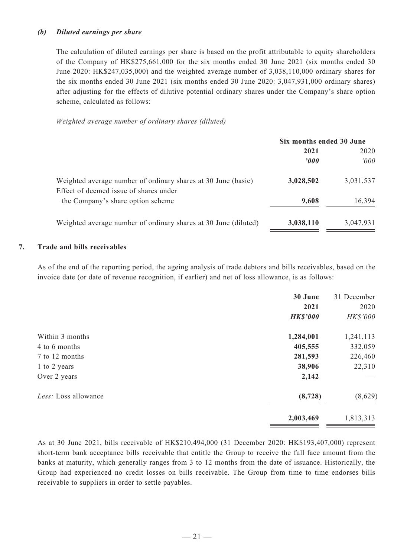### *(b) Diluted earnings per share*

The calculation of diluted earnings per share is based on the profit attributable to equity shareholders of the Company of HK\$275,661,000 for the six months ended 30 June 2021 (six months ended 30 June 2020: HK\$247,035,000) and the weighted average number of 3,038,110,000 ordinary shares for the six months ended 30 June 2021 (six months ended 30 June 2020: 3,047,931,000 ordinary shares) after adjusting for the effects of dilutive potential ordinary shares under the Company's share option scheme, calculated as follows:

*Weighted average number of ordinary shares (diluted)*

|                                                                                                         | Six months ended 30 June |           |  |
|---------------------------------------------------------------------------------------------------------|--------------------------|-----------|--|
|                                                                                                         | 2021                     | 2020      |  |
|                                                                                                         | 2000                     | 2000      |  |
| Weighted average number of ordinary shares at 30 June (basic)<br>Effect of deemed issue of shares under | 3,028,502                | 3,031,537 |  |
| the Company's share option scheme                                                                       | 9,608                    | 16,394    |  |
| Weighted average number of ordinary shares at 30 June (diluted)                                         | 3,038,110                | 3,047,931 |  |

#### **7. Trade and bills receivables**

As of the end of the reporting period, the ageing analysis of trade debtors and bills receivables, based on the invoice date (or date of revenue recognition, if earlier) and net of loss allowance, is as follows:

|                      | 30 June<br>2021<br><b>HK\$'000</b> | 31 December<br>2020<br><b>HK\$'000</b> |
|----------------------|------------------------------------|----------------------------------------|
| Within 3 months      | 1,284,001                          | 1,241,113                              |
| 4 to 6 months        | 405,555                            | 332,059                                |
| 7 to 12 months       | 281,593                            | 226,460                                |
| 1 to 2 years         | 38,906                             | 22,310                                 |
| Over 2 years         | 2,142                              |                                        |
| Less: Loss allowance | (8, 728)                           | (8,629)                                |
|                      | 2,003,469                          | 1,813,313                              |

As at 30 June 2021, bills receivable of HK\$210,494,000 (31 December 2020: HK\$193,407,000) represent short-term bank acceptance bills receivable that entitle the Group to receive the full face amount from the banks at maturity, which generally ranges from 3 to 12 months from the date of issuance. Historically, the Group had experienced no credit losses on bills receivable. The Group from time to time endorses bills receivable to suppliers in order to settle payables.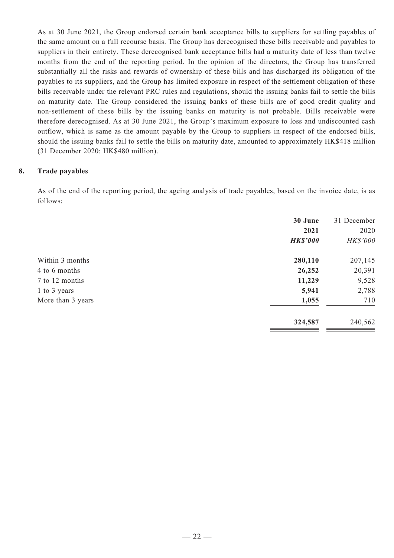As at 30 June 2021, the Group endorsed certain bank acceptance bills to suppliers for settling payables of the same amount on a full recourse basis. The Group has derecognised these bills receivable and payables to suppliers in their entirety. These derecognised bank acceptance bills had a maturity date of less than twelve months from the end of the reporting period. In the opinion of the directors, the Group has transferred substantially all the risks and rewards of ownership of these bills and has discharged its obligation of the payables to its suppliers, and the Group has limited exposure in respect of the settlement obligation of these bills receivable under the relevant PRC rules and regulations, should the issuing banks fail to settle the bills on maturity date. The Group considered the issuing banks of these bills are of good credit quality and non-settlement of these bills by the issuing banks on maturity is not probable. Bills receivable were therefore derecognised. As at 30 June 2021, the Group's maximum exposure to loss and undiscounted cash outflow, which is same as the amount payable by the Group to suppliers in respect of the endorsed bills, should the issuing banks fail to settle the bills on maturity date, amounted to approximately HK\$418 million (31 December 2020: HK\$480 million).

#### **8. Trade payables**

As of the end of the reporting period, the ageing analysis of trade payables, based on the invoice date, is as follows:

| 30 June<br>2021<br><b>HK\$'000</b> | 31 December<br>2020<br>HK\$'000 |
|------------------------------------|---------------------------------|
| 280,110                            | 207,145                         |
| 26,252                             | 20,391                          |
| 11,229                             | 9,528                           |
| 5,941                              | 2,788                           |
| 1,055                              | 710                             |
| 324,587                            | 240,562                         |
|                                    |                                 |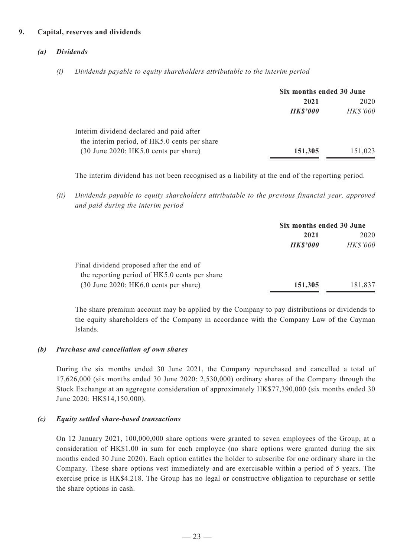### **9. Capital, reserves and dividends**

### *(a) Dividends*

*(i) Dividends payable to equity shareholders attributable to the interim period*

|                                              | Six months ended 30 June |                 |
|----------------------------------------------|--------------------------|-----------------|
|                                              | 2021                     |                 |
|                                              | <b>HK\$'000</b>          | <b>HK\$'000</b> |
| Interim dividend declared and paid after     |                          |                 |
| the interim period, of HK5.0 cents per share |                          |                 |
| $(30$ June 2020: HK5.0 cents per share)      | 151,305                  | 151,023         |

The interim dividend has not been recognised as a liability at the end of the reporting period.

*(ii) Dividends payable to equity shareholders attributable to the previous financial year, approved and paid during the interim period*

|                                               | Six months ended 30 June |                 |  |
|-----------------------------------------------|--------------------------|-----------------|--|
|                                               | 2021                     | 2020            |  |
|                                               | <b>HK\$'000</b>          | <b>HK\$'000</b> |  |
| Final dividend proposed after the end of      |                          |                 |  |
| the reporting period of HK5.0 cents per share |                          |                 |  |
| $(30$ June 2020: HK6.0 cents per share)       | 151,305                  | 181,837         |  |

The share premium account may be applied by the Company to pay distributions or dividends to the equity shareholders of the Company in accordance with the Company Law of the Cayman Islands.

#### *(b) Purchase and cancellation of own shares*

During the six months ended 30 June 2021, the Company repurchased and cancelled a total of 17,626,000 (six months ended 30 June 2020: 2,530,000) ordinary shares of the Company through the Stock Exchange at an aggregate consideration of approximately HK\$77,390,000 (six months ended 30 June 2020: HK\$14,150,000).

#### *(c) Equity settled share-based transactions*

On 12 January 2021, 100,000,000 share options were granted to seven employees of the Group, at a consideration of HK\$1.00 in sum for each employee (no share options were granted during the six months ended 30 June 2020). Each option entitles the holder to subscribe for one ordinary share in the Company. These share options vest immediately and are exercisable within a period of 5 years. The exercise price is HK\$4.218. The Group has no legal or constructive obligation to repurchase or settle the share options in cash.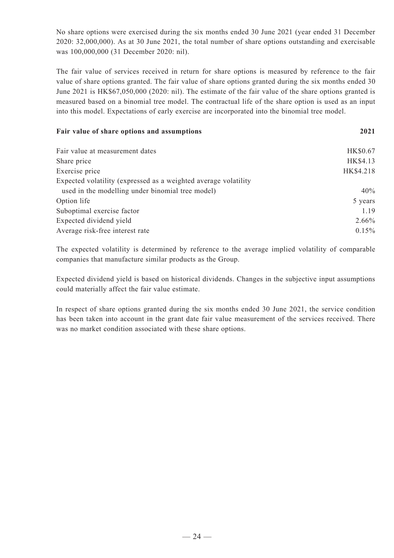No share options were exercised during the six months ended 30 June 2021 (year ended 31 December 2020: 32,000,000). As at 30 June 2021, the total number of share options outstanding and exercisable was 100,000,000 (31 December 2020: nil).

The fair value of services received in return for share options is measured by reference to the fair value of share options granted. The fair value of share options granted during the six months ended 30 June 2021 is HK\$67,050,000 (2020: nil). The estimate of the fair value of the share options granted is measured based on a binomial tree model. The contractual life of the share option is used as an input into this model. Expectations of early exercise are incorporated into the binomial tree model.

#### **Fair value of share options and assumptions 2021**

| Fair value at measurement dates                                 | HK\$0.67  |
|-----------------------------------------------------------------|-----------|
| Share price                                                     | HK\$4.13  |
| Exercise price                                                  | HK\$4.218 |
| Expected volatility (expressed as a weighted average volatility |           |
| used in the modelling under binomial tree model)                | 40%       |
| Option life                                                     | 5 years   |
| Suboptimal exercise factor                                      | 1.19      |
| Expected dividend yield                                         | 2.66%     |
| Average risk-free interest rate                                 | 0.15%     |
|                                                                 |           |

The expected volatility is determined by reference to the average implied volatility of comparable companies that manufacture similar products as the Group.

Expected dividend yield is based on historical dividends. Changes in the subjective input assumptions could materially affect the fair value estimate.

In respect of share options granted during the six months ended 30 June 2021, the service condition has been taken into account in the grant date fair value measurement of the services received. There was no market condition associated with these share options.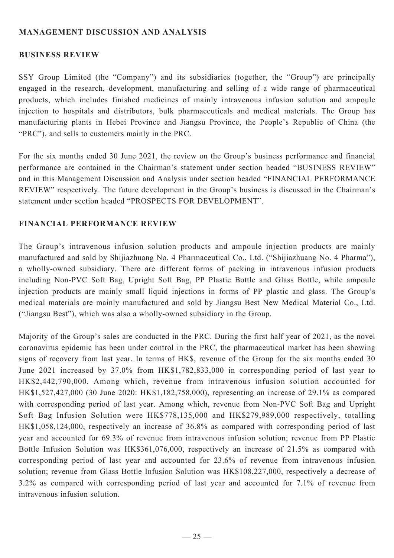## **MANAGEMENT DISCUSSION AND ANALYSIS**

### **BUSINESS REVIEW**

SSY Group Limited (the "Company") and its subsidiaries (together, the "Group") are principally engaged in the research, development, manufacturing and selling of a wide range of pharmaceutical products, which includes finished medicines of mainly intravenous infusion solution and ampoule injection to hospitals and distributors, bulk pharmaceuticals and medical materials. The Group has manufacturing plants in Hebei Province and Jiangsu Province, the People's Republic of China (the "PRC"), and sells to customers mainly in the PRC.

For the six months ended 30 June 2021, the review on the Group's business performance and financial performance are contained in the Chairman's statement under section headed "BUSINESS REVIEW" and in this Management Discussion and Analysis under section headed "FINANCIAL PERFORMANCE REVIEW" respectively. The future development in the Group's business is discussed in the Chairman's statement under section headed "PROSPECTS FOR DEVELOPMENT".

## **FINANCIAL PERFORMANCE REVIEW**

The Group's intravenous infusion solution products and ampoule injection products are mainly manufactured and sold by Shijiazhuang No. 4 Pharmaceutical Co., Ltd. ("Shijiazhuang No. 4 Pharma"), a wholly-owned subsidiary. There are different forms of packing in intravenous infusion products including Non-PVC Soft Bag, Upright Soft Bag, PP Plastic Bottle and Glass Bottle, while ampoule injection products are mainly small liquid injections in forms of PP plastic and glass. The Group's medical materials are mainly manufactured and sold by Jiangsu Best New Medical Material Co., Ltd. ("Jiangsu Best"), which was also a wholly-owned subsidiary in the Group.

Majority of the Group's sales are conducted in the PRC. During the first half year of 2021, as the novel coronavirus epidemic has been under control in the PRC, the pharmaceutical market has been showing signs of recovery from last year. In terms of HK\$, revenue of the Group for the six months ended 30 June 2021 increased by 37.0% from HK\$1,782,833,000 in corresponding period of last year to HK\$2,442,790,000. Among which, revenue from intravenous infusion solution accounted for HK\$1,527,427,000 (30 June 2020: HK\$1,182,758,000), representing an increase of 29.1% as compared with corresponding period of last year. Among which, revenue from Non-PVC Soft Bag and Upright Soft Bag Infusion Solution were HK\$778,135,000 and HK\$279,989,000 respectively, totalling HK\$1,058,124,000, respectively an increase of 36.8% as compared with corresponding period of last year and accounted for 69.3% of revenue from intravenous infusion solution; revenue from PP Plastic Bottle Infusion Solution was HK\$361,076,000, respectively an increase of 21.5% as compared with corresponding period of last year and accounted for 23.6% of revenue from intravenous infusion solution; revenue from Glass Bottle Infusion Solution was HK\$108,227,000, respectively a decrease of 3.2% as compared with corresponding period of last year and accounted for 7.1% of revenue from intravenous infusion solution.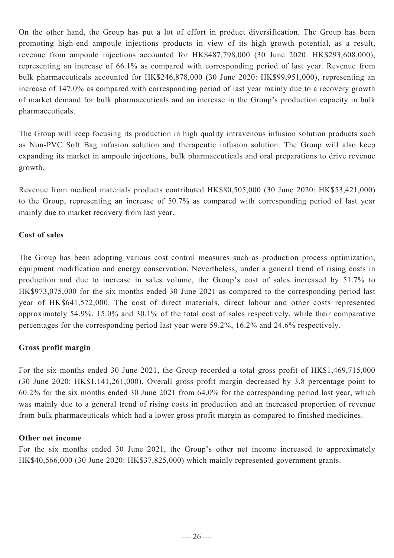On the other hand, the Group has put a lot of effort in product diversification. The Group has been promoting high-end ampoule injections products in view of its high growth potential, as a result, revenue from ampoule injections accounted for HK\$487,798,000 (30 June 2020: HK\$293,608,000), representing an increase of 66.1% as compared with corresponding period of last year. Revenue from bulk pharmaceuticals accounted for HK\$246,878,000 (30 June 2020: HK\$99,951,000), representing an increase of 147.0% as compared with corresponding period of last year mainly due to a recovery growth of market demand for bulk pharmaceuticals and an increase in the Group's production capacity in bulk pharmaceuticals.

The Group will keep focusing its production in high quality intravenous infusion solution products such as Non-PVC Soft Bag infusion solution and therapeutic infusion solution. The Group will also keep expanding its market in ampoule injections, bulk pharmaceuticals and oral preparations to drive revenue growth.

Revenue from medical materials products contributed HK\$80,505,000 (30 June 2020: HK\$53,421,000) to the Group, representing an increase of 50.7% as compared with corresponding period of last year mainly due to market recovery from last year.

### **Cost of sales**

The Group has been adopting various cost control measures such as production process optimization, equipment modification and energy conservation. Nevertheless, under a general trend of rising costs in production and due to increase in sales volume, the Group's cost of sales increased by 51.7% to HK\$973,075,000 for the six months ended 30 June 2021 as compared to the corresponding period last year of HK\$641,572,000. The cost of direct materials, direct labour and other costs represented approximately 54.9%, 15.0% and 30.1% of the total cost of sales respectively, while their comparative percentages for the corresponding period last year were 59.2%, 16.2% and 24.6% respectively.

### **Gross profit margin**

For the six months ended 30 June 2021, the Group recorded a total gross profit of HK\$1,469,715,000 (30 June 2020: HK\$1,141,261,000). Overall gross profit margin decreased by 3.8 percentage point to 60.2% for the six months ended 30 June 2021 from 64.0% for the corresponding period last year, which was mainly due to a general trend of rising costs in production and an increased proportion of revenue from bulk pharmaceuticals which had a lower gross profit margin as compared to finished medicines.

### **Other net income**

For the six months ended 30 June 2021, the Group's other net income increased to approximately HK\$40,566,000 (30 June 2020: HK\$37,825,000) which mainly represented government grants.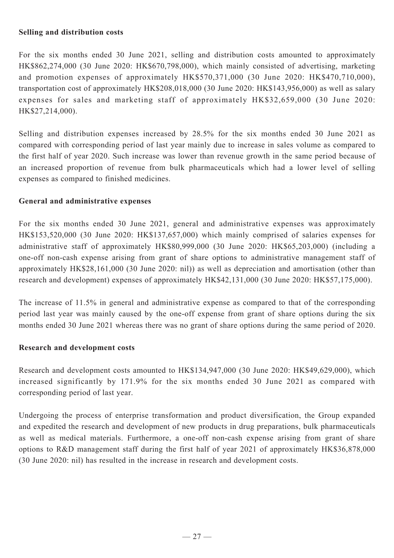### **Selling and distribution costs**

For the six months ended 30 June 2021, selling and distribution costs amounted to approximately HK\$862,274,000 (30 June 2020: HK\$670,798,000), which mainly consisted of advertising, marketing and promotion expenses of approximately HK\$570,371,000 (30 June 2020: HK\$470,710,000), transportation cost of approximately HK\$208,018,000 (30 June 2020: HK\$143,956,000) as well as salary expenses for sales and marketing staff of approximately HK\$32,659,000 (30 June 2020: HK\$27,214,000).

Selling and distribution expenses increased by 28.5% for the six months ended 30 June 2021 as compared with corresponding period of last year mainly due to increase in sales volume as compared to the first half of year 2020. Such increase was lower than revenue growth in the same period because of an increased proportion of revenue from bulk pharmaceuticals which had a lower level of selling expenses as compared to finished medicines.

### **General and administrative expenses**

For the six months ended 30 June 2021, general and administrative expenses was approximately HK\$153,520,000 (30 June 2020: HK\$137,657,000) which mainly comprised of salaries expenses for administrative staff of approximately HK\$80,999,000 (30 June 2020: HK\$65,203,000) (including a one-off non-cash expense arising from grant of share options to administrative management staff of approximately HK\$28,161,000 (30 June 2020: nil)) as well as depreciation and amortisation (other than research and development) expenses of approximately HK\$42,131,000 (30 June 2020: HK\$57,175,000).

The increase of 11.5% in general and administrative expense as compared to that of the corresponding period last year was mainly caused by the one-off expense from grant of share options during the six months ended 30 June 2021 whereas there was no grant of share options during the same period of 2020.

### **Research and development costs**

Research and development costs amounted to HK\$134,947,000 (30 June 2020: HK\$49,629,000), which increased significantly by 171.9% for the six months ended 30 June 2021 as compared with corresponding period of last year.

Undergoing the process of enterprise transformation and product diversification, the Group expanded and expedited the research and development of new products in drug preparations, bulk pharmaceuticals as well as medical materials. Furthermore, a one-off non-cash expense arising from grant of share options to R&D management staff during the first half of year 2021 of approximately HK\$36,878,000 (30 June 2020: nil) has resulted in the increase in research and development costs.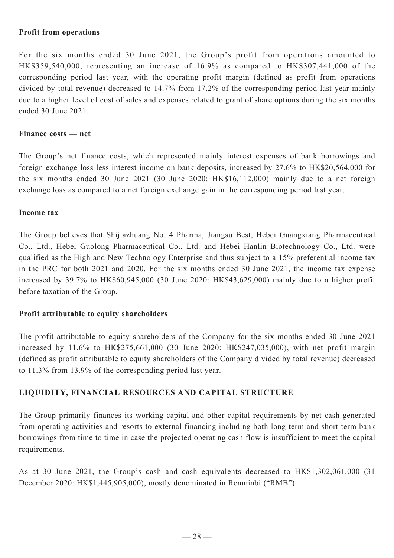### **Profit from operations**

For the six months ended 30 June 2021, the Group's profit from operations amounted to HK\$359,540,000, representing an increase of 16.9% as compared to HK\$307,441,000 of the corresponding period last year, with the operating profit margin (defined as profit from operations divided by total revenue) decreased to 14.7% from 17.2% of the corresponding period last year mainly due to a higher level of cost of sales and expenses related to grant of share options during the six months ended 30 June 2021.

#### **Finance costs — net**

The Group's net finance costs, which represented mainly interest expenses of bank borrowings and foreign exchange loss less interest income on bank deposits, increased by 27.6% to HK\$20,564,000 for the six months ended 30 June 2021 (30 June 2020: HK\$16,112,000) mainly due to a net foreign exchange loss as compared to a net foreign exchange gain in the corresponding period last year.

#### **Income tax**

The Group believes that Shijiazhuang No. 4 Pharma, Jiangsu Best, Hebei Guangxiang Pharmaceutical Co., Ltd., Hebei Guolong Pharmaceutical Co., Ltd. and Hebei Hanlin Biotechnology Co., Ltd. were qualified as the High and New Technology Enterprise and thus subject to a 15% preferential income tax in the PRC for both 2021 and 2020. For the six months ended 30 June 2021, the income tax expense increased by 39.7% to HK\$60,945,000 (30 June 2020: HK\$43,629,000) mainly due to a higher profit before taxation of the Group.

### **Profit attributable to equity shareholders**

The profit attributable to equity shareholders of the Company for the six months ended 30 June 2021 increased by 11.6% to HK\$275,661,000 (30 June 2020: HK\$247,035,000), with net profit margin (defined as profit attributable to equity shareholders of the Company divided by total revenue) decreased to 11.3% from 13.9% of the corresponding period last year.

### **LIQUIDITY, FINANCIAL RESOURCES AND CAPITAL STRUCTURE**

The Group primarily finances its working capital and other capital requirements by net cash generated from operating activities and resorts to external financing including both long-term and short-term bank borrowings from time to time in case the projected operating cash flow is insufficient to meet the capital requirements.

As at 30 June 2021, the Group's cash and cash equivalents decreased to HK\$1,302,061,000 (31 December 2020: HK\$1,445,905,000), mostly denominated in Renminbi ("RMB").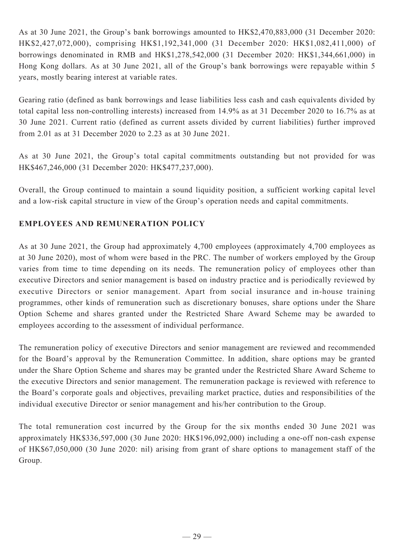As at 30 June 2021, the Group's bank borrowings amounted to HK\$2,470,883,000 (31 December 2020: HK\$2,427,072,000), comprising HK\$1,192,341,000 (31 December 2020: HK\$1,082,411,000) of borrowings denominated in RMB and HK\$1,278,542,000 (31 December 2020: HK\$1,344,661,000) in Hong Kong dollars. As at 30 June 2021, all of the Group's bank borrowings were repayable within 5 years, mostly bearing interest at variable rates.

Gearing ratio (defined as bank borrowings and lease liabilities less cash and cash equivalents divided by total capital less non-controlling interests) increased from 14.9% as at 31 December 2020 to 16.7% as at 30 June 2021. Current ratio (defined as current assets divided by current liabilities) further improved from 2.01 as at 31 December 2020 to 2.23 as at 30 June 2021.

As at 30 June 2021, the Group's total capital commitments outstanding but not provided for was HK\$467,246,000 (31 December 2020: HK\$477,237,000).

Overall, the Group continued to maintain a sound liquidity position, a sufficient working capital level and a low-risk capital structure in view of the Group's operation needs and capital commitments.

# **EMPLOYEES AND REMUNERATION POLICY**

As at 30 June 2021, the Group had approximately 4,700 employees (approximately 4,700 employees as at 30 June 2020), most of whom were based in the PRC. The number of workers employed by the Group varies from time to time depending on its needs. The remuneration policy of employees other than executive Directors and senior management is based on industry practice and is periodically reviewed by executive Directors or senior management. Apart from social insurance and in-house training programmes, other kinds of remuneration such as discretionary bonuses, share options under the Share Option Scheme and shares granted under the Restricted Share Award Scheme may be awarded to employees according to the assessment of individual performance.

The remuneration policy of executive Directors and senior management are reviewed and recommended for the Board's approval by the Remuneration Committee. In addition, share options may be granted under the Share Option Scheme and shares may be granted under the Restricted Share Award Scheme to the executive Directors and senior management. The remuneration package is reviewed with reference to the Board's corporate goals and objectives, prevailing market practice, duties and responsibilities of the individual executive Director or senior management and his/her contribution to the Group.

The total remuneration cost incurred by the Group for the six months ended 30 June 2021 was approximately HK\$336,597,000 (30 June 2020: HK\$196,092,000) including a one-off non-cash expense of HK\$67,050,000 (30 June 2020: nil) arising from grant of share options to management staff of the Group.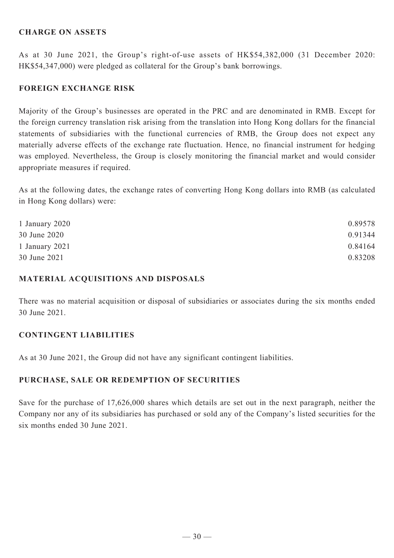### **CHARGE ON ASSETS**

As at 30 June 2021, the Group's right-of-use assets of HK\$54,382,000 (31 December 2020: HK\$54,347,000) were pledged as collateral for the Group's bank borrowings.

### **FOREIGN EXCHANGE RISK**

Majority of the Group's businesses are operated in the PRC and are denominated in RMB. Except for the foreign currency translation risk arising from the translation into Hong Kong dollars for the financial statements of subsidiaries with the functional currencies of RMB, the Group does not expect any materially adverse effects of the exchange rate fluctuation. Hence, no financial instrument for hedging was employed. Nevertheless, the Group is closely monitoring the financial market and would consider appropriate measures if required.

As at the following dates, the exchange rates of converting Hong Kong dollars into RMB (as calculated in Hong Kong dollars) were:

| 1 January 2020 | 0.89578 |
|----------------|---------|
| 30 June 2020   | 0.91344 |
| 1 January 2021 | 0.84164 |
| 30 June 2021   | 0.83208 |

### **MATERIAL ACQUISITIONS AND DISPOSALS**

There was no material acquisition or disposal of subsidiaries or associates during the six months ended 30 June 2021.

### **CONTINGENT LIABILITIES**

As at 30 June 2021, the Group did not have any significant contingent liabilities.

### **PURCHASE, SALE OR REDEMPTION OF SECURITIES**

Save for the purchase of 17,626,000 shares which details are set out in the next paragraph, neither the Company nor any of its subsidiaries has purchased or sold any of the Company's listed securities for the six months ended 30 June 2021.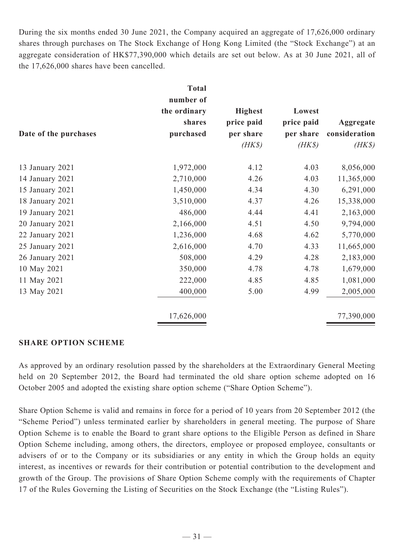During the six months ended 30 June 2021, the Company acquired an aggregate of 17,626,000 ordinary shares through purchases on The Stock Exchange of Hong Kong Limited (the "Stock Exchange") at an aggregate consideration of HK\$77,390,000 which details are set out below. As at 30 June 2021, all of the 17,626,000 shares have been cancelled.

|                       | <b>Total</b> |                |            |               |
|-----------------------|--------------|----------------|------------|---------------|
|                       | number of    |                |            |               |
|                       | the ordinary | <b>Highest</b> | Lowest     |               |
|                       | shares       | price paid     | price paid | Aggregate     |
| Date of the purchases | purchased    | per share      | per share  | consideration |
|                       |              | $(HK\$         | $(HK\$     | $(HK\$        |
| 13 January 2021       | 1,972,000    | 4.12           | 4.03       | 8,056,000     |
| 14 January 2021       | 2,710,000    | 4.26           | 4.03       | 11,365,000    |
| 15 January 2021       | 1,450,000    | 4.34           | 4.30       | 6,291,000     |
| 18 January 2021       | 3,510,000    | 4.37           | 4.26       | 15,338,000    |
| 19 January 2021       | 486,000      | 4.44           | 4.41       | 2,163,000     |
| 20 January 2021       | 2,166,000    | 4.51           | 4.50       | 9,794,000     |
| 22 January 2021       | 1,236,000    | 4.68           | 4.62       | 5,770,000     |
| 25 January 2021       | 2,616,000    | 4.70           | 4.33       | 11,665,000    |
| 26 January 2021       | 508,000      | 4.29           | 4.28       | 2,183,000     |
| 10 May 2021           | 350,000      | 4.78           | 4.78       | 1,679,000     |
| 11 May 2021           | 222,000      | 4.85           | 4.85       | 1,081,000     |
| 13 May 2021           | 400,000      | 5.00           | 4.99       | 2,005,000     |
|                       | 17,626,000   |                |            | 77,390,000    |

#### **SHARE OPTION SCHEME**

As approved by an ordinary resolution passed by the shareholders at the Extraordinary General Meeting held on 20 September 2012, the Board had terminated the old share option scheme adopted on 16 October 2005 and adopted the existing share option scheme ("Share Option Scheme").

Share Option Scheme is valid and remains in force for a period of 10 years from 20 September 2012 (the "Scheme Period") unless terminated earlier by shareholders in general meeting. The purpose of Share Option Scheme is to enable the Board to grant share options to the Eligible Person as defined in Share Option Scheme including, among others, the directors, employee or proposed employee, consultants or advisers of or to the Company or its subsidiaries or any entity in which the Group holds an equity interest, as incentives or rewards for their contribution or potential contribution to the development and growth of the Group. The provisions of Share Option Scheme comply with the requirements of Chapter 17 of the Rules Governing the Listing of Securities on the Stock Exchange (the "Listing Rules").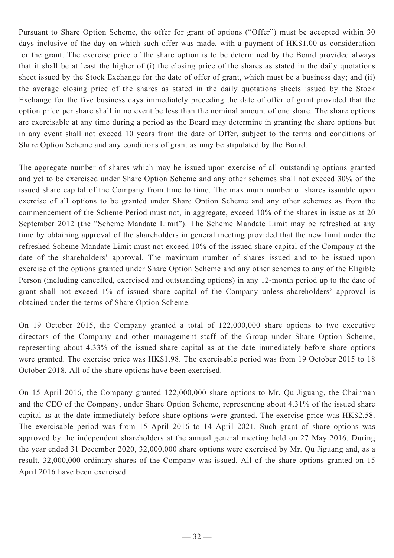Pursuant to Share Option Scheme, the offer for grant of options ("Offer") must be accepted within 30 days inclusive of the day on which such offer was made, with a payment of HK\$1.00 as consideration for the grant. The exercise price of the share option is to be determined by the Board provided always that it shall be at least the higher of (i) the closing price of the shares as stated in the daily quotations sheet issued by the Stock Exchange for the date of offer of grant, which must be a business day; and (ii) the average closing price of the shares as stated in the daily quotations sheets issued by the Stock Exchange for the five business days immediately preceding the date of offer of grant provided that the option price per share shall in no event be less than the nominal amount of one share. The share options are exercisable at any time during a period as the Board may determine in granting the share options but in any event shall not exceed 10 years from the date of Offer, subject to the terms and conditions of Share Option Scheme and any conditions of grant as may be stipulated by the Board.

The aggregate number of shares which may be issued upon exercise of all outstanding options granted and yet to be exercised under Share Option Scheme and any other schemes shall not exceed 30% of the issued share capital of the Company from time to time. The maximum number of shares issuable upon exercise of all options to be granted under Share Option Scheme and any other schemes as from the commencement of the Scheme Period must not, in aggregate, exceed 10% of the shares in issue as at 20 September 2012 (the "Scheme Mandate Limit"). The Scheme Mandate Limit may be refreshed at any time by obtaining approval of the shareholders in general meeting provided that the new limit under the refreshed Scheme Mandate Limit must not exceed 10% of the issued share capital of the Company at the date of the shareholders' approval. The maximum number of shares issued and to be issued upon exercise of the options granted under Share Option Scheme and any other schemes to any of the Eligible Person (including cancelled, exercised and outstanding options) in any 12-month period up to the date of grant shall not exceed 1% of issued share capital of the Company unless shareholders' approval is obtained under the terms of Share Option Scheme.

On 19 October 2015, the Company granted a total of 122,000,000 share options to two executive directors of the Company and other management staff of the Group under Share Option Scheme, representing about 4.33% of the issued share capital as at the date immediately before share options were granted. The exercise price was HK\$1.98. The exercisable period was from 19 October 2015 to 18 October 2018. All of the share options have been exercised.

On 15 April 2016, the Company granted 122,000,000 share options to Mr. Qu Jiguang, the Chairman and the CEO of the Company, under Share Option Scheme, representing about 4.31% of the issued share capital as at the date immediately before share options were granted. The exercise price was HK\$2.58. The exercisable period was from 15 April 2016 to 14 April 2021. Such grant of share options was approved by the independent shareholders at the annual general meeting held on 27 May 2016. During the year ended 31 December 2020, 32,000,000 share options were exercised by Mr. Qu Jiguang and, as a result, 32,000,000 ordinary shares of the Company was issued. All of the share options granted on 15 April 2016 have been exercised.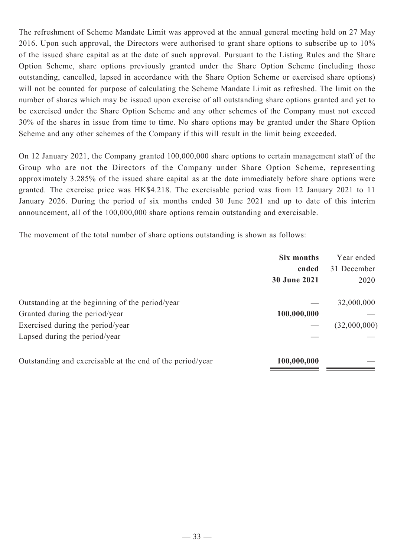The refreshment of Scheme Mandate Limit was approved at the annual general meeting held on 27 May 2016. Upon such approval, the Directors were authorised to grant share options to subscribe up to 10% of the issued share capital as at the date of such approval. Pursuant to the Listing Rules and the Share Option Scheme, share options previously granted under the Share Option Scheme (including those outstanding, cancelled, lapsed in accordance with the Share Option Scheme or exercised share options) will not be counted for purpose of calculating the Scheme Mandate Limit as refreshed. The limit on the number of shares which may be issued upon exercise of all outstanding share options granted and yet to be exercised under the Share Option Scheme and any other schemes of the Company must not exceed 30% of the shares in issue from time to time. No share options may be granted under the Share Option Scheme and any other schemes of the Company if this will result in the limit being exceeded.

On 12 January 2021, the Company granted 100,000,000 share options to certain management staff of the Group who are not the Directors of the Company under Share Option Scheme, representing approximately 3.285% of the issued share capital as at the date immediately before share options were granted. The exercise price was HK\$4.218. The exercisable period was from 12 January 2021 to 11 January 2026. During the period of six months ended 30 June 2021 and up to date of this interim announcement, all of the 100,000,000 share options remain outstanding and exercisable.

The movement of the total number of share options outstanding is shown as follows:

|                                                           | Six months   | Year ended   |
|-----------------------------------------------------------|--------------|--------------|
|                                                           | ended        | 31 December  |
|                                                           | 30 June 2021 | 2020         |
| Outstanding at the beginning of the period/year           |              | 32,000,000   |
| Granted during the period/year                            | 100,000,000  |              |
| Exercised during the period/year                          |              | (32,000,000) |
| Lapsed during the period/year                             |              |              |
| Outstanding and exercisable at the end of the period/year | 100,000,000  |              |
|                                                           |              |              |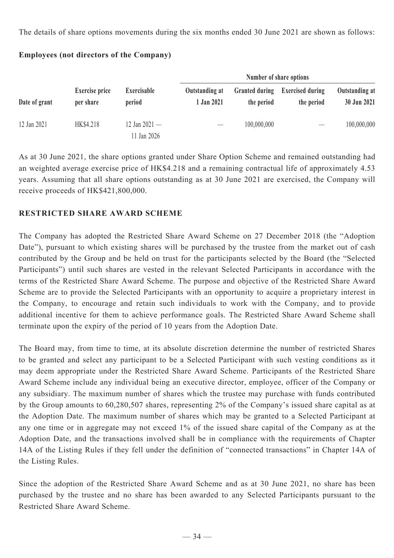The details of share options movements during the six months ended 30 June 2021 are shown as follows:

| Date of grant |                                    |                              |                              | Number of share options             |                                       |                               |  |
|---------------|------------------------------------|------------------------------|------------------------------|-------------------------------------|---------------------------------------|-------------------------------|--|
|               | <b>Exercise price</b><br>per share | Exercisable<br>period        | Outstanding at<br>1 Jan 2021 | <b>Granted during</b><br>the period | <b>Exercised during</b><br>the period | Outstanding at<br>30 Jun 2021 |  |
| 12 Jan 2021   | HK\$4.218                          | 12 Jan 2021 —<br>11 Jan 2026 |                              | 100,000,000                         |                                       | 100,000,000                   |  |

## **Employees (not directors of the Company)**

As at 30 June 2021, the share options granted under Share Option Scheme and remained outstanding had an weighted average exercise price of HK\$4.218 and a remaining contractual life of approximately 4.53 years. Assuming that all share options outstanding as at 30 June 2021 are exercised, the Company will receive proceeds of HK\$421,800,000.

# **RESTRICTED SHARE AWARD SCHEME**

The Company has adopted the Restricted Share Award Scheme on 27 December 2018 (the "Adoption Date"), pursuant to which existing shares will be purchased by the trustee from the market out of cash contributed by the Group and be held on trust for the participants selected by the Board (the "Selected Participants") until such shares are vested in the relevant Selected Participants in accordance with the terms of the Restricted Share Award Scheme. The purpose and objective of the Restricted Share Award Scheme are to provide the Selected Participants with an opportunity to acquire a proprietary interest in the Company, to encourage and retain such individuals to work with the Company, and to provide additional incentive for them to achieve performance goals. The Restricted Share Award Scheme shall terminate upon the expiry of the period of 10 years from the Adoption Date.

The Board may, from time to time, at its absolute discretion determine the number of restricted Shares to be granted and select any participant to be a Selected Participant with such vesting conditions as it may deem appropriate under the Restricted Share Award Scheme. Participants of the Restricted Share Award Scheme include any individual being an executive director, employee, officer of the Company or any subsidiary. The maximum number of shares which the trustee may purchase with funds contributed by the Group amounts to 60,280,507 shares, representing 2% of the Company's issued share capital as at the Adoption Date. The maximum number of shares which may be granted to a Selected Participant at any one time or in aggregate may not exceed 1% of the issued share capital of the Company as at the Adoption Date, and the transactions involved shall be in compliance with the requirements of Chapter 14A of the Listing Rules if they fell under the definition of "connected transactions" in Chapter 14A of the Listing Rules.

Since the adoption of the Restricted Share Award Scheme and as at 30 June 2021, no share has been purchased by the trustee and no share has been awarded to any Selected Participants pursuant to the Restricted Share Award Scheme.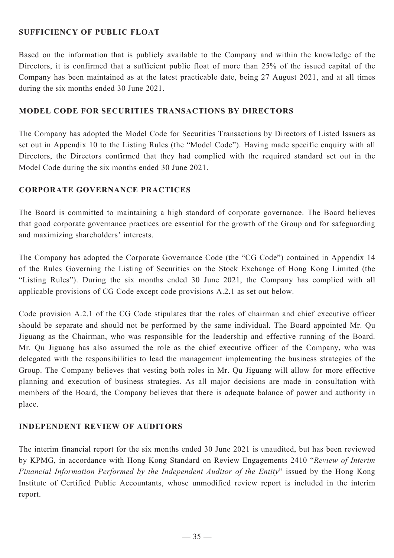## **SUFFICIENCY OF PUBLIC FLOAT**

Based on the information that is publicly available to the Company and within the knowledge of the Directors, it is confirmed that a sufficient public float of more than 25% of the issued capital of the Company has been maintained as at the latest practicable date, being 27 August 2021, and at all times during the six months ended 30 June 2021.

### **MODEL CODE FOR SECURITIES TRANSACTIONS BY DIRECTORS**

The Company has adopted the Model Code for Securities Transactions by Directors of Listed Issuers as set out in Appendix 10 to the Listing Rules (the "Model Code"). Having made specific enquiry with all Directors, the Directors confirmed that they had complied with the required standard set out in the Model Code during the six months ended 30 June 2021.

### **CORPORATE GOVERNANCE PRACTICES**

The Board is committed to maintaining a high standard of corporate governance. The Board believes that good corporate governance practices are essential for the growth of the Group and for safeguarding and maximizing shareholders' interests.

The Company has adopted the Corporate Governance Code (the "CG Code") contained in Appendix 14 of the Rules Governing the Listing of Securities on the Stock Exchange of Hong Kong Limited (the "Listing Rules"). During the six months ended 30 June 2021, the Company has complied with all applicable provisions of CG Code except code provisions A.2.1 as set out below.

Code provision A.2.1 of the CG Code stipulates that the roles of chairman and chief executive officer should be separate and should not be performed by the same individual. The Board appointed Mr. Qu Jiguang as the Chairman, who was responsible for the leadership and effective running of the Board. Mr. Qu Jiguang has also assumed the role as the chief executive officer of the Company, who was delegated with the responsibilities to lead the management implementing the business strategies of the Group. The Company believes that vesting both roles in Mr. Qu Jiguang will allow for more effective planning and execution of business strategies. As all major decisions are made in consultation with members of the Board, the Company believes that there is adequate balance of power and authority in place.

# **INDEPENDENT REVIEW OF AUDITORS**

The interim financial report for the six months ended 30 June 2021 is unaudited, but has been reviewed by KPMG, in accordance with Hong Kong Standard on Review Engagements 2410 "*Review of Interim Financial Information Performed by the Independent Auditor of the Entity*" issued by the Hong Kong Institute of Certified Public Accountants, whose unmodified review report is included in the interim report.